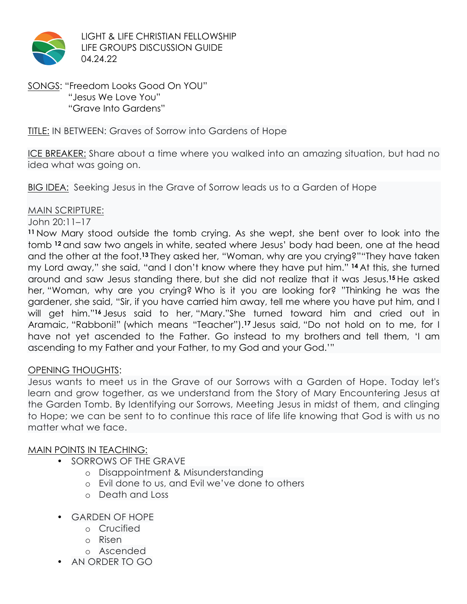

LIGHT & LIFE CHRISTIAN FELLOWSHIP LIFE GROUPS DISCUSSION GUIDE 04.24.22

SONGS: "Freedom Looks Good On YOU" "Jesus We Love You" "Grave Into Gardens"

## TITLE: IN BETWEEN: Graves of Sorrow into Gardens of Hope

ICE BREAKER: Share about a time where you walked into an amazing situation, but had no idea what was going on.

BIG IDEA: Seeking Jesus in the Grave of Sorrow leads us to a Garden of Hope

#### MAIN SCRIPTURE:

#### John 20:11–17

**<sup>11</sup>** Now Mary stood outside the tomb crying. As she wept, she bent over to look into the tomb **<sup>12</sup>** and saw two angels in white, seated where Jesus' body had been, one at the head and the other at the foot.**<sup>13</sup>** They asked her, "Woman, why are you crying?""They have taken my Lord away," she said, "and I don't know where they have put him." **<sup>14</sup>** At this, she turned around and saw Jesus standing there, but she did not realize that it was Jesus.**<sup>15</sup>** He asked her, "Woman, why are you crying? Who is it you are looking for? "Thinking he was the gardener, she said, "Sir, if you have carried him away, tell me where you have put him, and I will get him."**<sup>16</sup>** Jesus said to her, "Mary."She turned toward him and cried out in Aramaic, "Rabboni!" (which means "Teacher").**<sup>17</sup>** Jesus said, "Do not hold on to me, for I have not yet ascended to the Father. Go instead to my brothers and tell them, 'I am ascending to my Father and your Father, to my God and your God.'"

## OPENING THOUGHTS:

Jesus wants to meet us in the Grave of our Sorrows with a Garden of Hope. Today let's learn and grow together, as we understand from the Story of Mary Encountering Jesus at the Garden Tomb. By Identifying our Sorrows, Meeting Jesus in midst of them, and clinging to Hope; we can be sent to to continue this race of life life knowing that God is with us no matter what we face.

## MAIN POINTS IN TEACHING:

- SORROWS OF THE GRAVE
	- o Disappointment & Misunderstanding
	- o Evil done to us, and Evil we've done to others
	- o Death and Loss
- GARDEN OF HOPE
	- o Crucified
	- o Risen
	- o Ascended
- AN ORDER TO GO